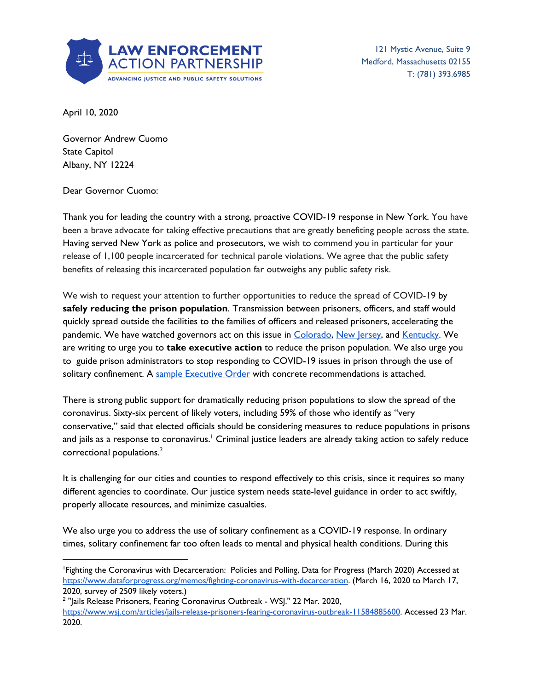

121 Mystic Avenue, Suite 9 Medford, Massachusetts 02155 T: (781) 393.6985

April 10, 2020

Governor Andrew Cuomo State Capitol Albany, NY 12224

Dear Governor Cuomo:

Thank you for leading the country with a strong, proactive COVID-19 response in New York. You have been a brave advocate for taking effective precautions that are greatly benefiting people across the state. Having served New York as police and prosecutors, we wish to commend you in particular for your release of 1,100 people incarcerated for technical parole violations. We agree that the public safety benefits of releasing this incarcerated population far outweighs any public safety risk.

We wish to request your attention to further opportunities to reduce the spread of COVID-19 by **safely reducing the prison population**. Transmission between prisoners, officers, and staff would quickly spread outside the facilities to the families of officers and released prisoners, accelerating the pandemic. We have watched governors act on this issue in [Colorado](https://www.denverpost.com/2020/03/26/polis-executive-orders-coronavirus-relief/), New [Jersey,](https://www.nytimes.com/2020/03/23/nyregion/coronavirus-nj-inmates-release.html) and [Kentucky](https://www.wdrb.com/news/kentucky-plans-to-release-more-than-900-prisoners-because-of-the-covid-19-outbreak/article_aef84282-7541-11ea-8a18-efe5a8cf107d.html). We are writing to urge you to **take executive action** to reduce the prison population. We also urge you to guide prison administrators to stop responding to COVID-19 issues in prison through the use of solitary confinement. A sample [Executive](https://lawenforcementactionpartnership.org/covid-19-sample-executive-order-new-york/) Order with concrete recommendations is attached.

There is strong public support for dramatically reducing prison populations to slow the spread of the coronavirus. Sixty-six percent of likely voters, including 59% of those who identify as "very conservative," said that elected officials should be considering measures to reduce populations in prisons and jails as a response to coronavirus.' Criminal justice leaders are already taking action to safely reduce correctional populations. 2

It is challenging for our cities and counties to respond effectively to this crisis, since it requires so many different agencies to coordinate. Our justice system needs state-level guidance in order to act swiftly, properly allocate resources, and minimize casualties.

We also urge you to address the use of solitary confinement as a COVID-19 response. In ordinary times, solitary confinement far too often leads to mental and physical health conditions. During this

<sup>1</sup>Fighting the Coronavirus with Decarceration: Policies and Polling, Data for Progress (March 2020) Accessed at <https://www.dataforprogress.org/memos/fighting-coronavirus-with-decarceration>. (March 16, 2020 to March 17, 2020, survey of 2509 likely voters.)

<sup>&</sup>lt;sup>2</sup> "Jails Release Prisoners, Fearing Coronavirus Outbreak - WSJ." 22 Mar. 2020, <https://www.wsj.com/articles/jails-release-prisoners-fearing-coronavirus-outbreak-11584885600>. Accessed 23 Mar. 2020.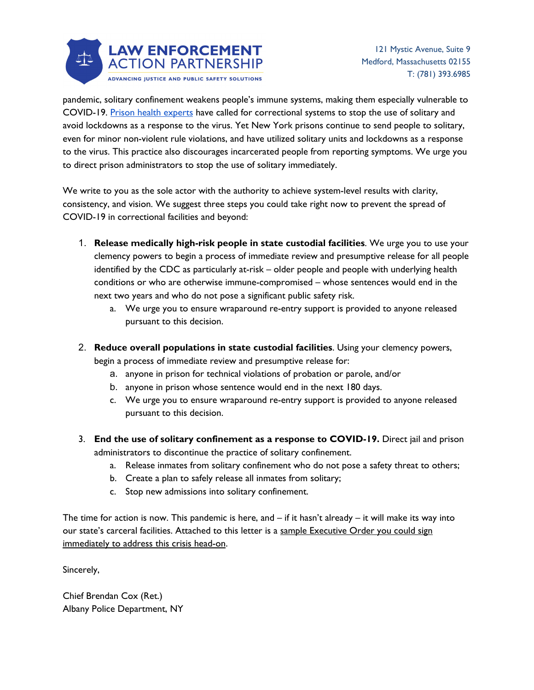

pandemic, solitary confinement weakens people's immune systems, making them especially vulnerable to COVID-19. Prison health [experts](https://thehill.com/opinion/criminal-justice/488802-coronavirus-behind-bars-4-priorities-to-save-the-lives-of-prisoners?rnd=1584807204) have called for correctional systems to stop the use of solitary and avoid lockdowns as a response to the virus. Yet New York prisons continue to send people to solitary, even for minor non-violent rule violations, and have utilized solitary units and lockdowns as a response to the virus. This practice also discourages incarcerated people from reporting symptoms. We urge you to direct prison administrators to stop the use of solitary immediately.

We write to you as the sole actor with the authority to achieve system-level results with clarity, consistency, and vision. We suggest three steps you could take right now to prevent the spread of COVID-19 in correctional facilities and beyond:

- 1. **Release medically high-risk people in state custodial facilities**. We urge you to use your clemency powers to begin a process of immediate review and presumptive release for all people identified by the CDC as particularly at-risk – older people and people with underlying health conditions or who are otherwise immune-compromised – whose sentences would end in the next two years and who do not pose a significant public safety risk.
	- a. We urge you to ensure wraparound re-entry support is provided to anyone released pursuant to this decision.
- 2. **Reduce overall populations in state custodial facilities**. Using your clemency powers, begin a process of immediate review and presumptive release for:
	- a. anyone in prison for technical violations of probation or parole, and/or
	- b. anyone in prison whose sentence would end in the next 180 days.
	- c. We urge you to ensure wraparound re-entry support is provided to anyone released pursuant to this decision.
- 3. **End the use of solitary confinement as a response to COVID-19.** Direct jail and prison administrators to discontinue the practice of solitary confinement.
	- a. Release inmates from solitary confinement who do not pose a safety threat to others;
	- b. Create a plan to safely release all inmates from solitary;
	- c. Stop new admissions into solitary confinement.

The time for action is now. This pandemic is here, and  $-$  if it hasn't already  $-$  it will make its way into our state's carceral facilities. Attached to this letter is a sample Executive Order you could sign immediately to address this crisis head-on.

Sincerely,

Chief Brendan Cox (Ret.) Albany Police Department, NY